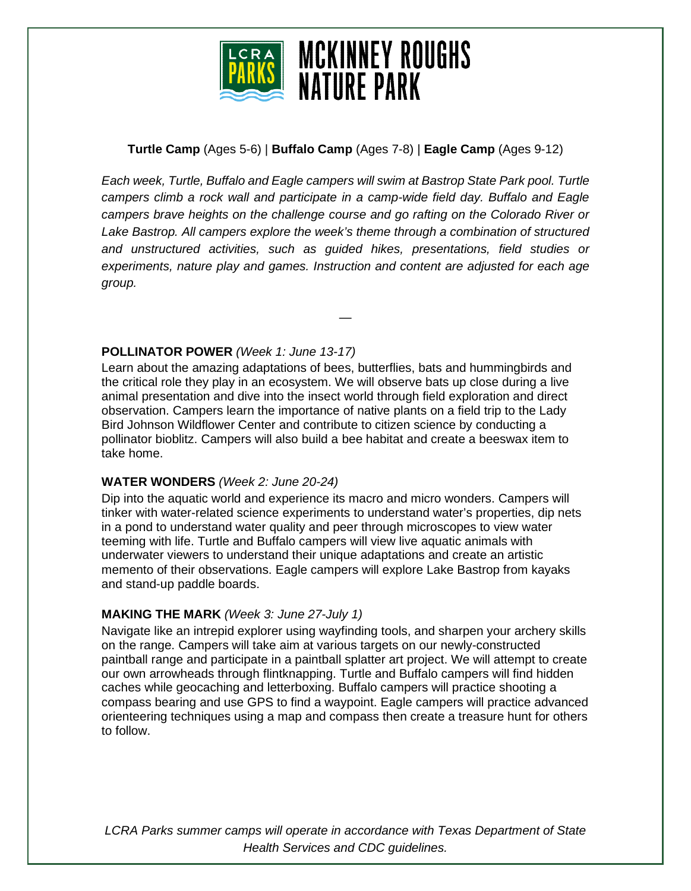

# **Turtle Camp** (Ages 5-6) | **Buffalo Camp** (Ages 7-8) | **Eagle Camp** (Ages 9-12)

*Each week, Turtle, Buffalo and Eagle campers will swim at Bastrop State Park pool. Turtle campers climb a rock wall and participate in a camp-wide field day. Buffalo and Eagle campers brave heights on the challenge course and go rafting on the Colorado River or Lake Bastrop. All campers explore the week's theme through a combination of structured and unstructured activities, such as guided hikes, presentations, field studies or experiments, nature play and games. Instruction and content are adjusted for each age group.* 

—

### **POLLINATOR POWER** *(Week 1: June 13-17)*

Learn about the amazing adaptations of bees, butterflies, bats and hummingbirds and the critical role they play in an ecosystem. We will observe bats up close during a live animal presentation and dive into the insect world through field exploration and direct observation. Campers learn the importance of native plants on a field trip to the Lady Bird Johnson Wildflower Center and contribute to citizen science by conducting a pollinator bioblitz. Campers will also build a bee habitat and create a beeswax item to take home.

### **WATER WONDERS** *(Week 2: June 20-24)*

Dip into the aquatic world and experience its macro and micro wonders. Campers will tinker with water-related science experiments to understand water's properties, dip nets in a pond to understand water quality and peer through microscopes to view water teeming with life. Turtle and Buffalo campers will view live aquatic animals with underwater viewers to understand their unique adaptations and create an artistic memento of their observations. Eagle campers will explore Lake Bastrop from kayaks and stand-up paddle boards.

### **MAKING THE MARK** *(Week 3: June 27-July 1)*

Navigate like an intrepid explorer using wayfinding tools, and sharpen your archery skills on the range. Campers will take aim at various targets on our newly-constructed paintball range and participate in a paintball splatter art project. We will attempt to create our own arrowheads through flintknapping. Turtle and Buffalo campers will find hidden caches while geocaching and letterboxing. Buffalo campers will practice shooting a compass bearing and use GPS to find a waypoint. Eagle campers will practice advanced orienteering techniques using a map and compass then create a treasure hunt for others to follow.

*LCRA Parks summer camps will operate in accordance with Texas Department of State Health Services and CDC guidelines.*